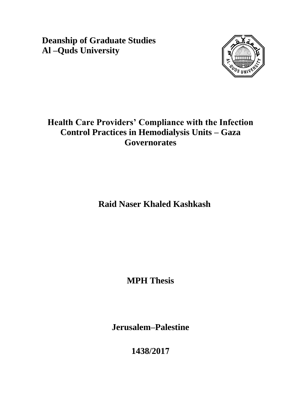**Deanship of Graduate Studies Al –Quds University** 



# **Health Care Providers' Compliance with the Infection Control Practices in Hemodialysis Units – Gaza Governorates**

**Raid Naser Khaled Kashkash**

**MPH Thesis**

**Jerusalem–Palestine**

**1438/2017**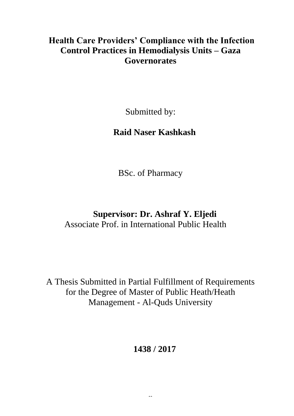## **Health Care Providers' Compliance with the Infection Control Practices in Hemodialysis Units – Gaza Governorates**

Submitted by:

# **Raid Naser Kashkash**

BSc. of Pharmacy

# **Supervisor: Dr. Ashraf Y. Eljedi** Associate Prof. in International Public Health

A Thesis Submitted in Partial Fulfillment of Requirements for the Degree of Master of Public Heath/Heath Management - Al-Quds University

# **1438 / 2017**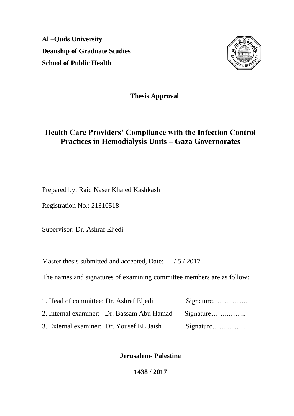**Al –Quds University Deanship of Graduate Studies School of Public Health** 



**Thesis Approval**

## **Health Care Providers' Compliance with the Infection Control Practices in Hemodialysis Units – Gaza Governorates**

Prepared by: Raid Naser Khaled Kashkash

Registration No.: 21310518

Supervisor: Dr. Ashraf Eljedi

Master thesis submitted and accepted, Date: / 5 / 2017

The names and signatures of examining committee members are as follow:

| 1. Head of committee: Dr. Ashraf Eljedi |                                                      | Signature |
|-----------------------------------------|------------------------------------------------------|-----------|
|                                         | 2. Internal examiner: Dr. Bassam Abu Hamad Signature |           |
|                                         | 3. External examiner: Dr. Yousef EL Jaish            | Signature |

**Jerusalem- Palestine**

**1438 / 2017**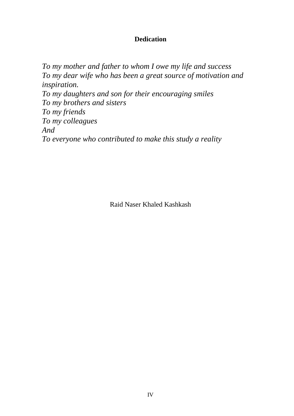## **Dedication**

*To my mother and father to whom I owe my life and success To my dear wife who has been a great source of motivation and inspiration. To my daughters and son for their encouraging smiles To my brothers and sisters To my friends To my colleagues And To everyone who contributed to make this study a reality* 

Raid Naser Khaled Kashkash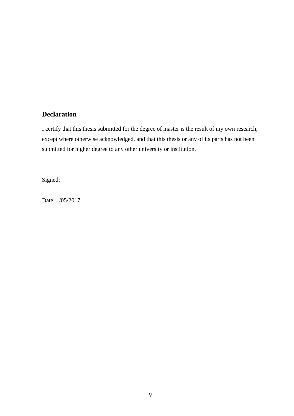### <span id="page-4-0"></span>**Declaration**

I certify that this thesis submitted for the degree of master is the result of my own research, except where otherwise acknowledged, and that this thesis or any of its parts has not been submitted for higher degree to any other university or institution.

Signed:

Date: /05/2017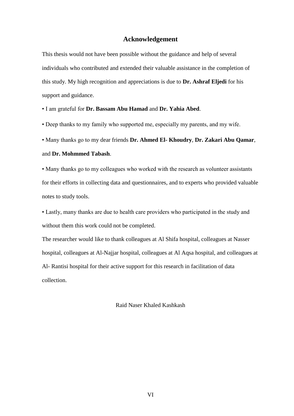#### **Acknowledgement**

This thesis would not have been possible without the guidance and help of several individuals who contributed and extended their valuable assistance in the completion of this study. My high recognition and appreciations is due to **Dr. Ashraf Eljedi** for his support and guidance.

• I am grateful for **Dr. Bassam Abu Hamad** and **Dr. Yahia Abed**.

• Deep thanks to my family who supported me, especially my parents, and my wife.

• Many thanks go to my dear friends **Dr. Ahmed El- Khoudry**, **Dr. Zakari Abu Qamar**, and **Dr. Mohmmed Tabash**.

• Many thanks go to my colleagues who worked with the research as volunteer assistants for their efforts in collecting data and questionnaires, and to experts who provided valuable notes to study tools.

• Lastly, many thanks are due to health care providers who participated in the study and without them this work could not be completed.

The researcher would like to thank colleagues at Al Shifa hospital, colleagues at Nasser hospital, colleagues at Al-Najjar hospital, colleagues at Al Aqsa hospital, and colleagues at Al- Rantisi hospital for their active support for this research in facilitation of data collection.

Raid Naser Khaled Kashkash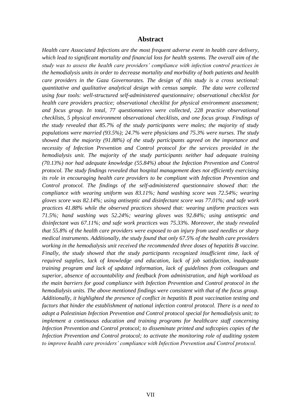#### **Abstract**

<span id="page-6-0"></span>*Health care Associated Infections are the most frequent adverse event in health care delivery, which lead to significant mortality and financial loss for health systems. The overall aim of the study was to assess the health care providers' compliance with infection control practices in the hemodialysis units in order to decrease mortality and morbidity of both patients and health care providers in the Gaza Governorates. The design of this study is a cross sectional: quantitative and qualitative analytical design with census sample. The data were collected using four tools: well-structured self-administered questionnaire; observational checklist for health care providers practice; observational checklist for physical environment assessment; and focus group. In total, 77 questionnaires were collected, 228 practice observational checklists, 5 physical environment observational checklists, and one focus group. Findings of the study revealed that 85.7% of the study participants were males; the majority of study populations were married (93.5%); 24.7% were physicians and 75.3% were nurses. The study showed that the majority (91.88%) of the study participants agreed on the importance and necessity of Infection Prevention and Control protocol for the services provided in the hemodialysis unit. The majority of the study participants neither had adequate training (70.13%) nor had adequate knowledge (55.84%) about the Infection Prevention and Control protocol. The study findings revealed that hospital management does not efficiently exercising its role in encouraging health care providers to be compliant with Infection Prevention and Control protocol. The findings of the self-administered questionnaire showed that: the compliance with wearing uniform was 83.11%; hand washing score was 72.54%; wearing gloves score was 82.14%; using antiseptic and disinfectant score was 77.01%; and safe work practices 41.88% while the observed practices showed that: wearing uniform practices was 71.5%; hand washing was 52.24%; wearing gloves was 92.84%; using antiseptic and disinfectant was 67.11%; and safe work practices was 75.33%. Moreover, the study revealed that 55.8% of the health care providers were exposed to an injury from used needles or sharp medical instruments. Additionally, the study found that only 67.5% of the health care providers working in the hemodialysis unit received the recommended three doses of hepatitis B vaccine. Finally, the study showed that the study participants recognized insufficient time, lack of required supplies, lack of knowledge and education, lack of job satisfaction, inadequate training program and lack of updated information, lack of guidelines from colleagues and superior, absence of accountability and feedback from administration, and high workload as the main barriers for good compliance with Infection Prevention and Control protocol in the hemodialysis units. The above mentioned findings were consistent with that of the focus group. Additionally, it highlighted the presence of conflict in hepatitis B post vaccination testing and factors that hinder the establishment of national infection control protocol. There is a need to adopt a Palestinian Infection Prevention and Control protocol special for hemodialysis unit; to implement a continuous education and training programs for healthcare staff concerning Infection Prevention and Control protocol; to disseminate printed and softcopies copies of the Infection Prevention and Control protocol; to activate the monitoring role of auditing system to improve health care providers' compliance with Infection Prevention and Control protocol.*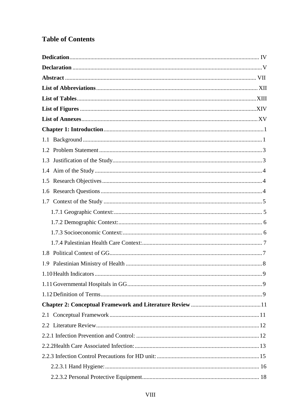## **Table of Contents**

| 1.6                    |   |
|------------------------|---|
|                        |   |
|                        |   |
|                        |   |
|                        |   |
|                        |   |
|                        |   |
| 1.9                    |   |
| 1.10 Health Indicators | 9 |
|                        |   |
|                        |   |
|                        |   |
|                        |   |
|                        |   |
|                        |   |
|                        |   |
|                        |   |
|                        |   |
|                        |   |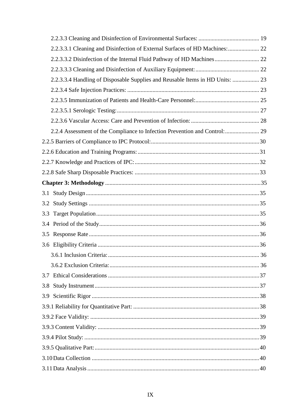| 2.2.3.3.1 Cleaning and Disinfection of External Surfaces of HD Machines:  22  |  |
|-------------------------------------------------------------------------------|--|
| 2.2.3.3.2 Disinfection of the Internal Fluid Pathway of HD Machines 22        |  |
|                                                                               |  |
| 2.2.3.3.4 Handling of Disposable Supplies and Reusable Items in HD Units:  23 |  |
|                                                                               |  |
|                                                                               |  |
|                                                                               |  |
|                                                                               |  |
| 2.2.4 Assessment of the Compliance to Infection Prevention and Control:  29   |  |
|                                                                               |  |
|                                                                               |  |
|                                                                               |  |
|                                                                               |  |
|                                                                               |  |
|                                                                               |  |
|                                                                               |  |
| 3.3                                                                           |  |
|                                                                               |  |
|                                                                               |  |
|                                                                               |  |
|                                                                               |  |
|                                                                               |  |
|                                                                               |  |
| 3.8                                                                           |  |
|                                                                               |  |
|                                                                               |  |
|                                                                               |  |
|                                                                               |  |
|                                                                               |  |
|                                                                               |  |
|                                                                               |  |
|                                                                               |  |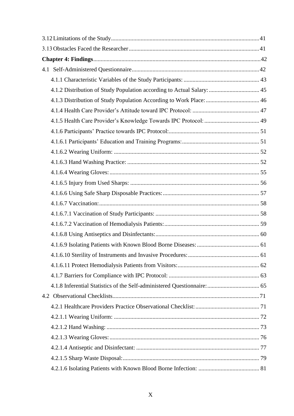| 4.1.2 Distribution of Study Population according to Actual Salary:  45 |    |
|------------------------------------------------------------------------|----|
|                                                                        |    |
|                                                                        |    |
|                                                                        |    |
|                                                                        |    |
|                                                                        |    |
|                                                                        |    |
|                                                                        |    |
|                                                                        |    |
|                                                                        |    |
|                                                                        |    |
|                                                                        |    |
|                                                                        |    |
|                                                                        |    |
|                                                                        |    |
|                                                                        |    |
| 4.1.6.10 Sterility of Instruments and Invasive Procedures:             | 61 |
|                                                                        |    |
|                                                                        |    |
|                                                                        |    |
|                                                                        |    |
|                                                                        |    |
|                                                                        |    |
|                                                                        |    |
|                                                                        |    |
|                                                                        |    |
|                                                                        |    |
|                                                                        |    |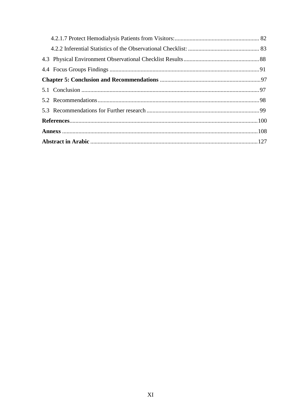<span id="page-10-0"></span>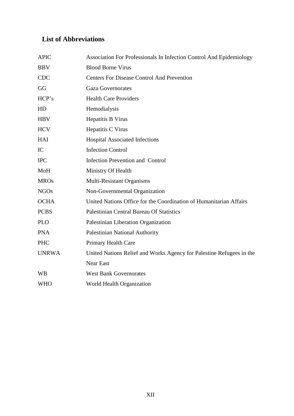## **List of Abbreviations**

<span id="page-11-0"></span>

| <b>APIC</b>  | Association For Professionals In Infection Control And Epidemiology  |
|--------------|----------------------------------------------------------------------|
| <b>BBV</b>   | <b>Blood Borne Virus</b>                                             |
| <b>CDC</b>   | <b>Centers For Disease Control And Prevention</b>                    |
| GG           | <b>Gaza Governorates</b>                                             |
| HCP's        | <b>Health Care Providers</b>                                         |
| HD           | Hemodialysis                                                         |
| <b>HBV</b>   | Hepatitis B Virus                                                    |
| <b>HCV</b>   | Hepatitis C Virus                                                    |
| HAI          | <b>Hospital Associated Infections</b>                                |
| IC           | <b>Infection Control</b>                                             |
| <b>IPC</b>   | <b>Infection Prevention and Control</b>                              |
| MoH          | Ministry Of Health                                                   |
| <b>MROs</b>  | Multi-Resistant Organisms                                            |
| <b>NGOs</b>  | Non-Governmental Organization                                        |
| <b>OCHA</b>  | United Nations Office for the Coordination of Humanitarian Affairs   |
| <b>PCBS</b>  | <b>Palestinian Central Bureau Of Statistics</b>                      |
| <b>PLO</b>   | Palestinian Liberation Organization                                  |
| <b>PNA</b>   | Palestinian National Authority                                       |
| <b>PHC</b>   | Primary Health Care                                                  |
| <b>UNRWA</b> | United Nations Relief and Works Agency for Palestine Refugees in the |
|              | <b>Near East</b>                                                     |
| <b>WB</b>    | <b>West Bank Governorates</b>                                        |
| <b>WHO</b>   | World Health Organization                                            |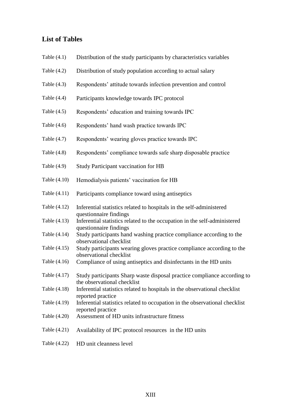### **List of Tables**

- Table (4.1) Distribution of the study participants by characteristics variables
- Table (4.2) Distribution of study population according to actual salary
- Table (4.3) Respondents' attitude towards infection prevention and control
- Table (4.4) Participants knowledge towards IPC protocol
- Table (4.5) Respondents' education and training towards IPC
- Table (4.6) Respondents' hand wash practice towards IPC
- Table (4.7) Respondents' wearing gloves practice towards IPC
- Table (4.8) Respondents' compliance towards safe sharp disposable practice
- Table (4.9) Study Participant vaccination for HB
- Table (4.10) Hemodialysis patients' vaccination for HB
- Table (4.11) Participants compliance toward using antiseptics
- Table (4.12) Inferential statistics related to hospitals in the self-administered questionnaire findings
- Table (4.13) Inferential statistics related to the occupation in the self-administered questionnaire findings
- Table (4.14) Study participants hand washing practice compliance according to the observational checklist
- Table (4.15) Study participants wearing gloves practice compliance according to the observational checklist
- Table (4.16) Compliance of using antiseptics and disinfectants in the HD units
- Table (4.17) Study participants Sharp waste disposal practice compliance according to the observational checklist
- Table (4.18) Inferential statistics related to hospitals in the observational checklist reported practice
- Table (4.19) Inferential statistics related to occupation in the observational checklist reported practice
- Table (4.20) Assessment of HD units infrastructure fitness
- Table (4.21) Availability of IPC protocol resources in the HD units
- <span id="page-12-0"></span>Table (4.22) HD unit cleanness level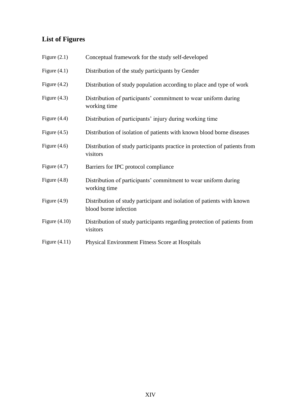## **List of Figures**

<span id="page-13-0"></span>

| Figure $(2.1)$  | Conceptual framework for the study self-developed                                               |
|-----------------|-------------------------------------------------------------------------------------------------|
| Figure $(4.1)$  | Distribution of the study participants by Gender                                                |
| Figure $(4.2)$  | Distribution of study population according to place and type of work                            |
| Figure $(4.3)$  | Distribution of participants' commitment to wear uniform during<br>working time                 |
| Figure $(4.4)$  | Distribution of participants' injury during working time                                        |
| Figure $(4.5)$  | Distribution of isolation of patients with known blood borne diseases                           |
| Figure $(4.6)$  | Distribution of study participants practice in protection of patients from<br>visitors          |
| Figure $(4.7)$  | Barriers for IPC protocol compliance                                                            |
| Figure $(4.8)$  | Distribution of participants' commitment to wear uniform during<br>working time                 |
| Figure $(4.9)$  | Distribution of study participant and isolation of patients with known<br>blood borne infection |
| Figure $(4.10)$ | Distribution of study participants regarding protection of patients from<br>visitors            |
| Figure $(4.11)$ | Physical Environment Fitness Score at Hospitals                                                 |